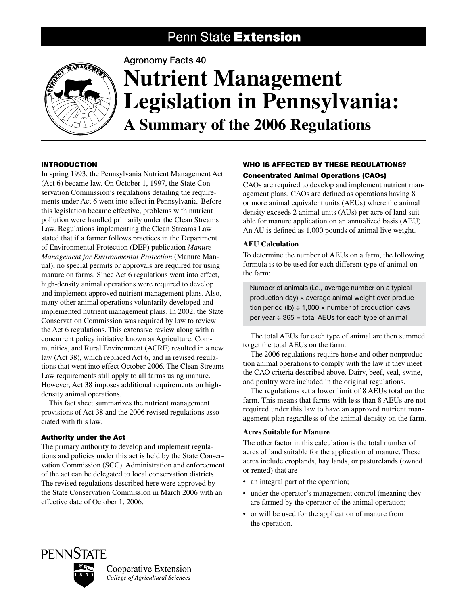# Penn State Extension



# Agronomy Facts 40 **Nutrient Management Legislation in Pennsylvania: A Summary of the 2006 Regulations**

# **INTRODUCTION**

In spring 1993, the Pennsylvania Nutrient Management Act (Act 6) became law. On October 1, 1997, the State Conservation Commission's regulations detailing the requirements under Act 6 went into effect in Pennsylvania. Before this legislation became effective, problems with nutrient pollution were handled primarily under the Clean Streams Law. Regulations implementing the Clean Streams Law stated that if a farmer follows practices in the Department of Environmental Protection (DEP) publication *Manure Management for Environmental Protection* (Manure Manual), no special permits or approvals are required for using manure on farms. Since Act 6 regulations went into effect, high-density animal operations were required to develop and implement approved nutrient management plans. Also, many other animal operations voluntarily developed and implemented nutrient management plans. In 2002, the State Conservation Commission was required by law to review the Act 6 regulations. This extensive review along with a concurrent policy initiative known as Agriculture, Communities, and Rural Environment (ACRE) resulted in a new law (Act 38), which replaced Act 6, and in revised regulations that went into effect October 2006. The Clean Streams Law requirements still apply to all farms using manure. However, Act 38 imposes additional requirements on highdensity animal operations.

This fact sheet summarizes the nutrient management provisions of Act 38 and the 2006 revised regulations associated with this law.

# Authority under the Act

The primary authority to develop and implement regulations and policies under this act is held by the State Conservation Commission (SCC). Administration and enforcement of the act can be delegated to local conservation districts. The revised regulations described here were approved by the State Conservation Commission in March 2006 with an effective date of October 1, 2006.

# WHO IS AFFECTED BY THESE REGULATIONS? Concentrated Animal Operations (CAOs)

CAOs are required to develop and implement nutrient management plans. CAOs are defined as operations having 8 or more animal equivalent units (AEUs) where the animal density exceeds 2 animal units (AUs) per acre of land suitable for manure application on an annualized basis (AEU). An AU is defined as 1,000 pounds of animal live weight.

# **AEU Calculation**

To determine the number of AEUs on a farm, the following formula is to be used for each different type of animal on the farm:

Number of animals (i.e., average number on a typical production day)  $\times$  average animal weight over production period (lb)  $\div$  1,000  $\times$  number of production days per year  $\div$  365 = total AEUs for each type of animal

The total AEUs for each type of animal are then summed to get the total AEUs on the farm.

The 2006 regulations require horse and other nonproduction animal operations to comply with the law if they meet the CAO criteria described above. Dairy, beef, veal, swine, and poultry were included in the original regulations.

The regulations set a lower limit of 8 AEUs total on the farm. This means that farms with less than 8 AEUs are not required under this law to have an approved nutrient management plan regardless of the animal density on the farm.

# **Acres Suitable for Manure**

The other factor in this calculation is the total number of acres of land suitable for the application of manure. These acres include croplands, hay lands, or pasturelands (owned or rented) that are

- an integral part of the operation;
- under the operator's management control (meaning they are farmed by the operator of the animal operation;
- or will be used for the application of manure from the operation.

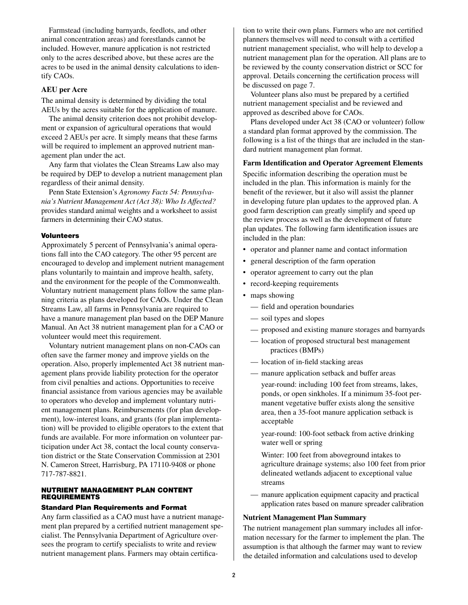Farmstead (including barnyards, feedlots, and other animal concentration areas) and forestlands cannot be included. However, manure application is not restricted only to the acres described above, but these acres are the acres to be used in the animal density calculations to identify CAOs.

#### **AEU per Acre**

The animal density is determined by dividing the total AEUs by the acres suitable for the application of manure.

The animal density criterion does not prohibit development or expansion of agricultural operations that would exceed 2 AEUs per acre. It simply means that these farms will be required to implement an approved nutrient management plan under the act.

Any farm that violates the Clean Streams Law also may be required by DEP to develop a nutrient management plan regardless of their animal density.

Penn State Extension's *Agronomy Facts 54: Pennsylvania's Nutrient Management Act (Act 38): Who Is Affected?* provides standard animal weights and a worksheet to assist farmers in determining their CAO status.

#### Volunteers

Approximately 5 percent of Pennsylvania's animal operations fall into the CAO category. The other 95 percent are encouraged to develop and implement nutrient management plans voluntarily to maintain and improve health, safety, and the environment for the people of the Commonwealth. Voluntary nutrient management plans follow the same planning criteria as plans developed for CAOs. Under the Clean Streams Law, all farms in Pennsylvania are required to have a manure management plan based on the DEP Manure Manual. An Act 38 nutrient management plan for a CAO or volunteer would meet this requirement.

Voluntary nutrient management plans on non-CAOs can often save the farmer money and improve yields on the operation. Also, properly implemented Act 38 nutrient management plans provide liability protection for the operator from civil penalties and actions. Opportunities to receive financial assistance from various agencies may be available to operators who develop and implement voluntary nutrient management plans. Reimbursements (for plan development), low-interest loans, and grants (for plan implementation) will be provided to eligible operators to the extent that funds are available. For more information on volunteer participation under Act 38, contact the local county conservation district or the State Conservation Commission at 2301 N. Cameron Street, Harrisburg, PA 17110-9408 or phone 717-787-8821.

#### Nutrient Management Plan Content **REQUIREMENTS**

#### Standard Plan Requirements and Format

Any farm classified as a CAO must have a nutrient management plan prepared by a certified nutrient management specialist. The Pennsylvania Department of Agriculture oversees the program to certify specialists to write and review nutrient management plans. Farmers may obtain certification to write their own plans. Farmers who are not certified planners themselves will need to consult with a certified nutrient management specialist, who will help to develop a nutrient management plan for the operation. All plans are to be reviewed by the county conservation district or SCC for approval. Details concerning the certification process will be discussed on page 7.

Volunteer plans also must be prepared by a certified nutrient management specialist and be reviewed and approved as described above for CAOs.

Plans developed under Act 38 (CAO or volunteer) follow a standard plan format approved by the commission. The following is a list of the things that are included in the standard nutrient management plan format.

#### **Farm Identification and Operator Agreement Elements**

Specific information describing the operation must be included in the plan. This information is mainly for the benefit of the reviewer, but it also will assist the planner in developing future plan updates to the approved plan. A good farm description can greatly simplify and speed up the review process as well as the development of future plan updates. The following farm identification issues are included in the plan:

- operator and planner name and contact information
- general description of the farm operation
- operator agreement to carry out the plan
- record-keeping requirements
- maps showing
	- field and operation boundaries
	- soil types and slopes
	- proposed and existing manure storages and barnyards
	- location of proposed structural best management practices (BMPs)
	- location of in-field stacking areas
	- manure application setback and buffer areas
		- year-round: including 100 feet from streams, lakes, ponds, or open sinkholes. If a minimum 35-foot permanent vegetative buffer exists along the sensitive area, then a 35-foot manure application setback is acceptable

year-round: 100-foot setback from active drinking water well or spring

Winter: 100 feet from aboveground intakes to agriculture drainage systems; also 100 feet from prior delineated wetlands adjacent to exceptional value streams

— manure application equipment capacity and practical application rates based on manure spreader calibration

#### **Nutrient Management Plan Summary**

The nutrient management plan summary includes all information necessary for the farmer to implement the plan. The assumption is that although the farmer may want to review the detailed information and calculations used to develop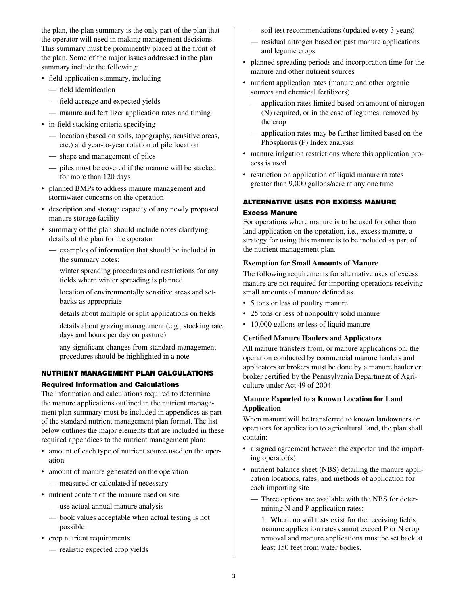the plan, the plan summary is the only part of the plan that the operator will need in making management decisions. This summary must be prominently placed at the front of the plan. Some of the major issues addressed in the plan summary include the following:

- field application summary, including
	- field identification
	- field acreage and expected yields
	- manure and fertilizer application rates and timing
- in-field stacking criteria specifying
	- location (based on soils, topography, sensitive areas, etc.) and year-to-year rotation of pile location
	- shape and management of piles
	- piles must be covered if the manure will be stacked for more than 120 days
- • planned BMPs to address manure management and stormwater concerns on the operation
- description and storage capacity of any newly proposed manure storage facility
- summary of the plan should include notes clarifying details of the plan for the operator
	- examples of information that should be included in the summary notes:
		- winter spreading procedures and restrictions for any fields where winter spreading is planned
		- location of environmentally sensitive areas and setbacks as appropriate
		- details about multiple or split applications on fields
		- details about grazing management (e.g., stocking rate, days and hours per day on pasture)
		- any significant changes from standard management procedures should be highlighted in a note

### Nutrient Management Plan Calculations

#### Required Information and Calculations

The information and calculations required to determine the manure applications outlined in the nutrient management plan summary must be included in appendices as part of the standard nutrient management plan format. The list below outlines the major elements that are included in these required appendices to the nutrient management plan:

- amount of each type of nutrient source used on the operation
- amount of manure generated on the operation
	- measured or calculated if necessary
- nutrient content of the manure used on site
	- use actual annual manure analysis
	- book values acceptable when actual testing is not possible
- crop nutrient requirements
	- realistic expected crop yields
- soil test recommendations (updated every 3 years)
- residual nitrogen based on past manure applications and legume crops
- planned spreading periods and incorporation time for the manure and other nutrient sources
- nutrient application rates (manure and other organic sources and chemical fertilizers)
	- application rates limited based on amount of nitrogen (N) required, or in the case of legumes, removed by the crop
	- application rates may be further limited based on the Phosphorus (P) Index analysis
- manure irrigation restrictions where this application process is used
- restriction on application of liquid manure at rates greater than 9,000 gallons/acre at any one time

# Alternative Uses for Excess Manure

#### Excess Manure

For operations where manure is to be used for other than land application on the operation, i.e., excess manure, a strategy for using this manure is to be included as part of the nutrient management plan.

#### **Exemption for Small Amounts of Manure**

The following requirements for alternative uses of excess manure are not required for importing operations receiving small amounts of manure defined as

- 5 tons or less of poultry manure
- 25 tons or less of nonpoultry solid manure
- 10,000 gallons or less of liquid manure

#### **Certified Manure Haulers and Applicators**

All manure transfers from, or manure applications on, the operation conducted by commercial manure haulers and applicators or brokers must be done by a manure hauler or broker certified by the Pennsylvania Department of Agriculture under Act 49 of 2004.

# **Manure Exported to a Known Location for Land Application**

When manure will be transferred to known landowners or operators for application to agricultural land, the plan shall contain:

- a signed agreement between the exporter and the importing operator(s)
- nutrient balance sheet (NBS) detailing the manure application locations, rates, and methods of application for each importing site
	- Three options are available with the NBS for determining N and P application rates:

1. Where no soil tests exist for the receiving fields, manure application rates cannot exceed P or N crop removal and manure applications must be set back at least 150 feet from water bodies.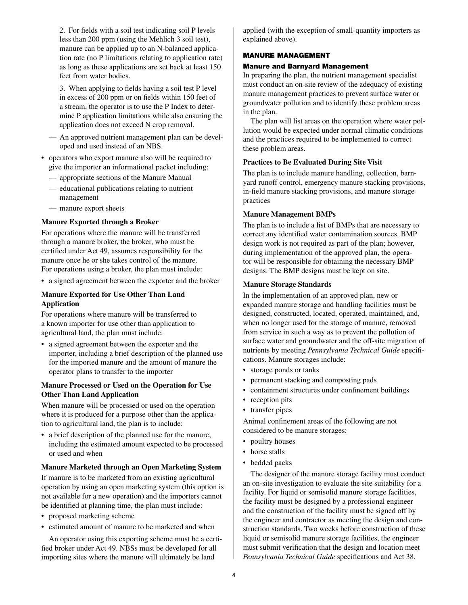2. For fields with a soil test indicating soil P levels less than 200 ppm (using the Mehlich 3 soil test), manure can be applied up to an N-balanced application rate (no P limitations relating to application rate) as long as these applications are set back at least 150 feet from water bodies.

3. When applying to fields having a soil test P level in excess of 200 ppm or on fields within 150 feet of a stream, the operator is to use the P Index to determine P application limitations while also ensuring the application does not exceed N crop removal.

- An approved nutrient management plan can be developed and used instead of an NBS.
- operators who export manure also will be required to give the importer an informational packet including:
	- appropriate sections of the Manure Manual
	- educational publications relating to nutrient management
	- manure export sheets

#### **Manure Exported through a Broker**

For operations where the manure will be transferred through a manure broker, the broker, who must be certified under Act 49, assumes responsibility for the manure once he or she takes control of the manure. For operations using a broker, the plan must include:

• a signed agreement between the exporter and the broker

# **Manure Exported for Use Other Than Land Application**

For operations where manure will be transferred to a known importer for use other than application to agricultural land, the plan must include:

• a signed agreement between the exporter and the importer, including a brief description of the planned use for the imported manure and the amount of manure the operator plans to transfer to the importer

#### **Manure Processed or Used on the Operation for Use Other Than Land Application**

When manure will be processed or used on the operation where it is produced for a purpose other than the application to agricultural land, the plan is to include:

• a brief description of the planned use for the manure, including the estimated amount expected to be processed or used and when

#### **Manure Marketed through an Open Marketing System**

If manure is to be marketed from an existing agricultural operation by using an open marketing system (this option is not available for a new operation) and the importers cannot be identified at planning time, the plan must include:

- proposed marketing scheme
- • estimated amount of manure to be marketed and when

An operator using this exporting scheme must be a certified broker under Act 49. NBSs must be developed for all importing sites where the manure will ultimately be land

applied (with the exception of small-quantity importers as explained above).

#### Manure Management

#### Manure and Barnyard Management

In preparing the plan, the nutrient management specialist must conduct an on-site review of the adequacy of existing manure management practices to prevent surface water or groundwater pollution and to identify these problem areas in the plan.

The plan will list areas on the operation where water pollution would be expected under normal climatic conditions and the practices required to be implemented to correct these problem areas.

#### **Practices to Be Evaluated During Site Visit**

The plan is to include manure handling, collection, barnyard runoff control, emergency manure stacking provisions, in-field manure stacking provisions, and manure storage practices

#### **Manure Management BMPs**

The plan is to include a list of BMPs that are necessary to correct any identified water contamination sources. BMP design work is not required as part of the plan; however, during implementation of the approved plan, the operator will be responsible for obtaining the necessary BMP designs. The BMP designs must be kept on site.

#### **Manure Storage Standards**

In the implementation of an approved plan, new or expanded manure storage and handling facilities must be designed, constructed, located, operated, maintained, and, when no longer used for the storage of manure, removed from service in such a way as to prevent the pollution of surface water and groundwater and the off-site migration of nutrients by meeting *Pennsylvania Technical Guide* specifications. Manure storages include:

- storage ponds or tanks
- • permanent stacking and composting pads
- containment structures under confinement buildings
- reception pits
- transfer pipes

Animal confinement areas of the following are not considered to be manure storages:

- poultry houses
- horse stalls
- bedded packs

The designer of the manure storage facility must conduct an on-site investigation to evaluate the site suitability for a facility. For liquid or semisolid manure storage facilities, the facility must be designed by a professional engineer and the construction of the facility must be signed off by the engineer and contractor as meeting the design and construction standards. Two weeks before construction of these liquid or semisolid manure storage facilities, the engineer must submit verification that the design and location meet *Pennsylvania Technical Guide* specifications and Act 38.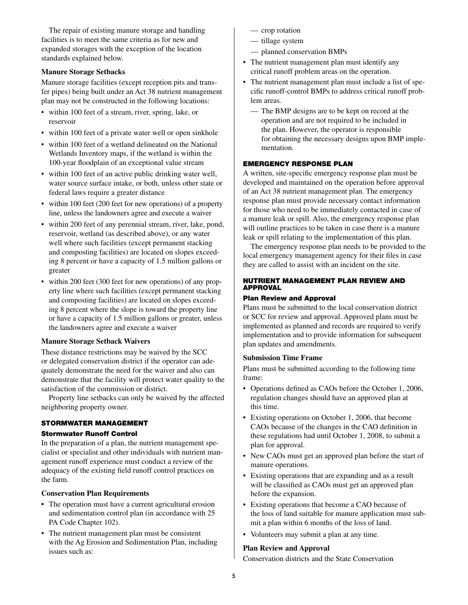The repair of existing manure storage and handling facilities is to meet the same criteria as for new and expanded storages with the exception of the location standards explained below.

#### **Manure Storage Setbacks**

Manure storage facilities (except reception pits and transfer pipes) being built under an Act 38 nutrient management plan may not be constructed in the following locations:

- within 100 feet of a stream, river, spring, lake, or reservoir
- within 100 feet of a private water well or open sinkhole
- within 100 feet of a wetland delineated on the National Wetlands Inventory maps, if the wetland is within the 100-year floodplain of an exceptional value stream
- within 100 feet of an active public drinking water well, water source surface intake, or both, unless other state or federal laws require a greater distance
- within 100 feet (200 feet for new operations) of a property line, unless the landowners agree and execute a waiver
- • within 200 feet of any perennial stream, river, lake, pond, reservoir, wetland (as described above), or any water well where such facilities (except permanent stacking and composting facilities) are located on slopes exceeding 8 percent or have a capacity of 1.5 million gallons or greater
- within 200 feet (300 feet for new operations) of any property line where such facilities (except permanent stacking and composting facilities) are located on slopes exceeding 8 percent where the slope is toward the property line or have a capacity of 1.5 million gallons or greater, unless the landowners agree and execute a waiver

# **Manure Storage Setback Waivers**

These distance restrictions may be waived by the SCC or delegated conservation district if the operator can adequately demonstrate the need for the waiver and also can demonstrate that the facility will protect water quality to the satisfaction of the commission or district.

Property line setbacks can only be waived by the affected neighboring property owner.

# Stormwater Management

#### Stormwater Runoff Control

In the preparation of a plan, the nutrient management specialist or specialist and other individuals with nutrient management runoff experience must conduct a review of the adequacy of the existing field runoff control practices on the farm.

#### **Conservation Plan Requirements**

- The operation must have a current agricultural erosion and sedimentation control plan (in accordance with 25 PA Code Chapter 102).
- The nutrient management plan must be consistent with the Ag Erosion and Sedimentation Plan, including issues such as:
- crop rotation
- tillage system
- planned conservation BMPs
- The nutrient management plan must identify any critical runoff problem areas on the operation.
- The nutrient management plan must include a list of specific runoff-control BMPs to address critical runoff problem areas.
	- The BMP designs are to be kept on record at the operation and are not required to be included in the plan. However, the operator is responsible for obtaining the necessary designs upon BMP implementation.

#### Emergency Response Plan

A written, site-specific emergency response plan must be developed and maintained on the operation before approval of an Act 38 nutrient management plan. The emergency response plan must provide necessary contact information for those who need to be immediately contacted in case of a manure leak or spill. Also, the emergency response plan will outline practices to be taken in case there is a manure leak or spill relating to the implementation of this plan.

The emergency response plan needs to be provided to the local emergency management agency for their files in case they are called to assist with an incident on the site.

# Nutrient Management Plan Review and **APPROVAL**

# Plan Review and Approval

Plans must be submitted to the local conservation district or SCC for review and approval. Approved plans must be implemented as planned and records are required to verify implementation and to provide information for subsequent plan updates and amendments.

# **Submission Time Frame**

Plans must be submitted according to the following time frame:

- Operations defined as CAOs before the October 1, 2006, regulation changes should have an approved plan at this time.
- Existing operations on October 1, 2006, that become CAOs because of the changes in the CAO definition in these regulations had until October 1, 2008, to submit a plan for approval.
- New CAOs must get an approved plan before the start of manure operations.
- Existing operations that are expanding and as a result will be classified as CAOs must get an approved plan before the expansion.
- Existing operations that become a CAO because of the loss of land suitable for manure application must submit a plan within 6 months of the loss of land.
- Volunteers may submit a plan at any time.

# **Plan Review and Approval**

Conservation districts and the State Conservation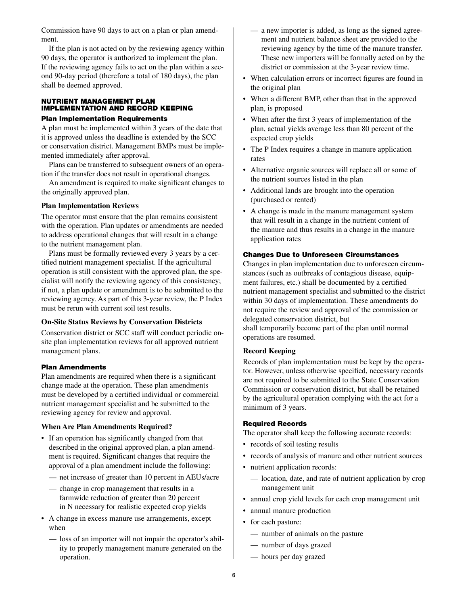Commission have 90 days to act on a plan or plan amendment.

If the plan is not acted on by the reviewing agency within 90 days, the operator is authorized to implement the plan. If the reviewing agency fails to act on the plan within a second 90-day period (therefore a total of 180 days), the plan shall be deemed approved.

# Nutrient Management Plan Implementation and Record Keeping

#### Plan Implementation Requirements

A plan must be implemented within 3 years of the date that it is approved unless the deadline is extended by the SCC or conservation district. Management BMPs must be implemented immediately after approval.

Plans can be transferred to subsequent owners of an operation if the transfer does not result in operational changes.

An amendment is required to make significant changes to the originally approved plan.

#### **Plan Implementation Reviews**

The operator must ensure that the plan remains consistent with the operation. Plan updates or amendments are needed to address operational changes that will result in a change to the nutrient management plan.

Plans must be formally reviewed every 3 years by a certified nutrient management specialist. If the agricultural operation is still consistent with the approved plan, the specialist will notify the reviewing agency of this consistency; if not, a plan update or amendment is to be submitted to the reviewing agency. As part of this 3-year review, the P Index must be rerun with current soil test results.

# **On-Site Status Reviews by Conservation Districts**

Conservation district or SCC staff will conduct periodic onsite plan implementation reviews for all approved nutrient management plans.

#### Plan Amendments

Plan amendments are required when there is a significant change made at the operation. These plan amendments must be developed by a certified individual or commercial nutrient management specialist and be submitted to the reviewing agency for review and approval.

#### **When Are Plan Amendments Required?**

- If an operation has significantly changed from that described in the original approved plan, a plan amendment is required. Significant changes that require the approval of a plan amendment include the following:
	- net increase of greater than 10 percent in AEUs/acre
	- change in crop management that results in a farmwide reduction of greater than 20 percent in N necessary for realistic expected crop yields
- A change in excess manure use arrangements, except when
	- loss of an importer will not impair the operator's ability to properly management manure generated on the operation.
- a new importer is added, as long as the signed agreement and nutrient balance sheet are provided to the reviewing agency by the time of the manure transfer. These new importers will be formally acted on by the district or commission at the 3-year review time.
- When calculation errors or incorrect figures are found in the original plan
- When a different BMP, other than that in the approved plan, is proposed
- When after the first 3 years of implementation of the plan, actual yields average less than 80 percent of the expected crop yields
- The P Index requires a change in manure application rates
- Alternative organic sources will replace all or some of the nutrient sources listed in the plan
- Additional lands are brought into the operation (purchased or rented)
- A change is made in the manure management system that will result in a change in the nutrient content of the manure and thus results in a change in the manure application rates

#### Changes Due to Unforeseen Circumstances

Changes in plan implementation due to unforeseen circumstances (such as outbreaks of contagious disease, equipment failures, etc.) shall be documented by a certified nutrient management specialist and submitted to the district within 30 days of implementation. These amendments do not require the review and approval of the commission or delegated conservation district, but shall temporarily become part of the plan until normal operations are resumed.

# **Record Keeping**

Records of plan implementation must be kept by the operator. However, unless otherwise specified, necessary records are not required to be submitted to the State Conservation Commission or conservation district, but shall be retained by the agricultural operation complying with the act for a minimum of 3 years.

#### Required Records

The operator shall keep the following accurate records:

- records of soil testing results
- records of analysis of manure and other nutrient sources
- nutrient application records:
	- location, date, and rate of nutrient application by crop management unit
- annual crop yield levels for each crop management unit
- annual manure production
- for each pasture:
	- number of animals on the pasture
	- number of days grazed
	- hours per day grazed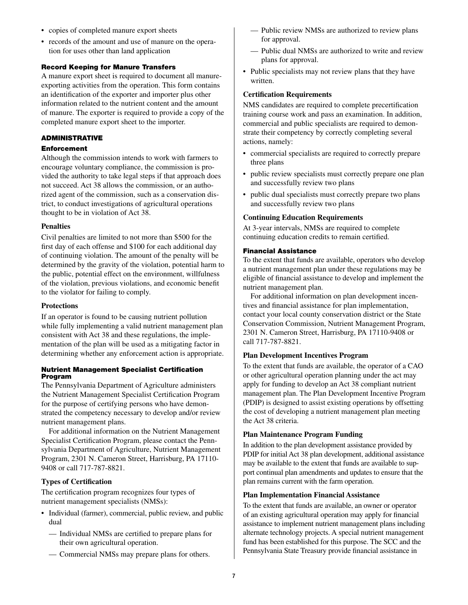- copies of completed manure export sheets
- records of the amount and use of manure on the operation for uses other than land application

# Record Keeping for Manure Transfers

A manure export sheet is required to document all manureexporting activities from the operation. This form contains an identification of the exporter and importer plus other information related to the nutrient content and the amount of manure. The exporter is required to provide a copy of the completed manure export sheet to the importer.

# Administrative

#### Enforcement

Although the commission intends to work with farmers to encourage voluntary compliance, the commission is provided the authority to take legal steps if that approach does not succeed. Act 38 allows the commission, or an authorized agent of the commission, such as a conservation district, to conduct investigations of agricultural operations thought to be in violation of Act 38.

# **Penalties**

Civil penalties are limited to not more than \$500 for the first day of each offense and \$100 for each additional day of continuing violation. The amount of the penalty will be determined by the gravity of the violation, potential harm to the public, potential effect on the environment, willfulness of the violation, previous violations, and economic benefit to the violator for failing to comply.

# **Protections**

If an operator is found to be causing nutrient pollution while fully implementing a valid nutrient management plan consistent with Act 38 and these regulations, the implementation of the plan will be used as a mitigating factor in determining whether any enforcement action is appropriate.

#### Nutrient Management Specialist Certification Program

The Pennsylvania Department of Agriculture administers the Nutrient Management Specialist Certification Program for the purpose of certifying persons who have demonstrated the competency necessary to develop and/or review nutrient management plans.

For additional information on the Nutrient Management Specialist Certification Program, please contact the Pennsylvania Department of Agriculture, Nutrient Management Program, 2301 N. Cameron Street, Harrisburg, PA 17110- 9408 or call 717-787-8821.

# **Types of Certification**

The certification program recognizes four types of nutrient management specialists (NMSs):

- Individual (farmer), commercial, public review, and public dual
	- Individual NMSs are certified to prepare plans for their own agricultural operation.
	- Commercial NMSs may prepare plans for others.
- Public review NMSs are authorized to review plans for approval.
- Public dual NMSs are authorized to write and review plans for approval.
- Public specialists may not review plans that they have written.

# **Certification Requirements**

NMS candidates are required to complete precertification training course work and pass an examination. In addition, commercial and public specialists are required to demonstrate their competency by correctly completing several actions, namely:

- commercial specialists are required to correctly prepare three plans
- public review specialists must correctly prepare one plan and successfully review two plans
- public dual specialists must correctly prepare two plans and successfully review two plans

#### **Continuing Education Requirements**

At 3-year intervals, NMSs are required to complete continuing education credits to remain certified.

#### Financial Assistance

To the extent that funds are available, operators who develop a nutrient management plan under these regulations may be eligible of financial assistance to develop and implement the nutrient management plan.

For additional information on plan development incentives and financial assistance for plan implementation, contact your local county conservation district or the State Conservation Commission, Nutrient Management Program, 2301 N. Cameron Street, Harrisburg, PA 17110-9408 or call 717-787-8821.

# **Plan Development Incentives Program**

To the extent that funds are available, the operator of a CAO or other agricultural operation planning under the act may apply for funding to develop an Act 38 compliant nutrient management plan. The Plan Development Incentive Program (PDIP) is designed to assist existing operations by offsetting the cost of developing a nutrient management plan meeting the Act 38 criteria.

# **Plan Maintenance Program Funding**

In addition to the plan development assistance provided by PDIP for initial Act 38 plan development, additional assistance may be available to the extent that funds are available to support continual plan amendments and updates to ensure that the plan remains current with the farm operation.

# **Plan Implementation Financial Assistance**

To the extent that funds are available, an owner or operator of an existing agricultural operation may apply for financial assistance to implement nutrient management plans including alternate technology projects. A special nutrient management fund has been established for this purpose. The SCC and the Pennsylvania State Treasury provide financial assistance in